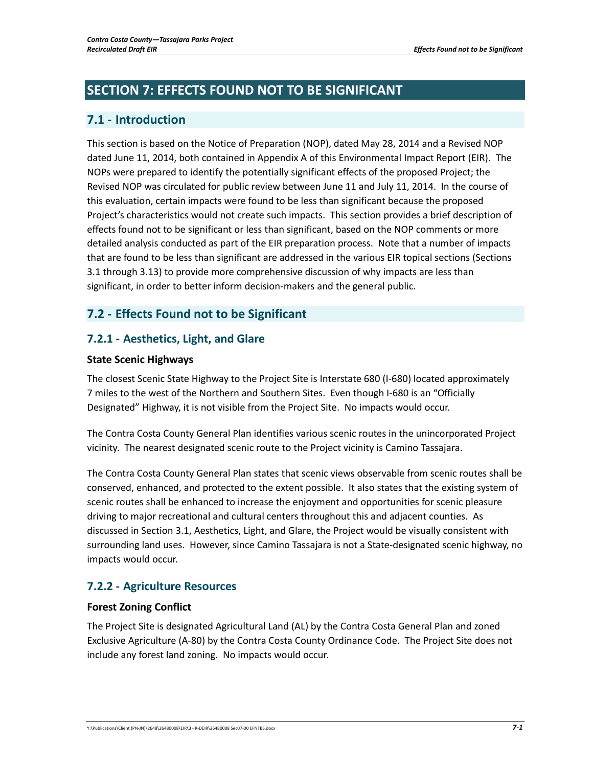# **SECTION 7: EFFECTS FOUND NOT TO BE SIGNIFICANT**

# **7.1 ‐ Introduction**

This section is based on the Notice of Preparation (NOP), dated May 28, 2014 and a Revised NOP dated June 11, 2014, both contained in Appendix A of this Environmental Impact Report (EIR). The NOPs were prepared to identify the potentially significant effects of the proposed Project; the Revised NOP was circulated for public review between June 11 and July 11, 2014. In the course of this evaluation, certain impacts were found to be less than significant because the proposed Project's characteristics would not create such impacts. This section provides a brief description of effects found not to be significant or less than significant, based on the NOP comments or more detailed analysis conducted as part of the EIR preparation process. Note that a number of impacts that are found to be less than significant are addressed in the various EIR topical sections (Sections 3.1 through 3.13) to provide more comprehensive discussion of why impacts are less than significant, in order to better inform decision‐makers and the general public.

# **7.2 ‐ Effects Found not to be Significant**

# **7.2.1 ‐ Aesthetics, Light, and Glare**

### **State Scenic Highways**

The closest Scenic State Highway to the Project Site is Interstate 680 (I‐680) located approximately 7 miles to the west of the Northern and Southern Sites. Even though I‐680 is an "Officially Designated" Highway, it is not visible from the Project Site. No impacts would occur.

The Contra Costa County General Plan identifies various scenic routes in the unincorporated Project vicinity. The nearest designated scenic route to the Project vicinity is Camino Tassajara.

The Contra Costa County General Plan states that scenic views observable from scenic routes shall be conserved, enhanced, and protected to the extent possible. It also states that the existing system of scenic routes shall be enhanced to increase the enjoyment and opportunities for scenic pleasure driving to major recreational and cultural centers throughout this and adjacent counties. As discussed in Section 3.1, Aesthetics, Light, and Glare, the Project would be visually consistent with surrounding land uses. However, since Camino Tassajara is not a State‐designated scenic highway, no impacts would occur.

# **7.2.2 ‐ Agriculture Resources**

### **Forest Zoning Conflict**

The Project Site is designated Agricultural Land (AL) by the Contra Costa General Plan and zoned Exclusive Agriculture (A‐80) by the Contra Costa County Ordinance Code. The Project Site does not include any forest land zoning. No impacts would occur.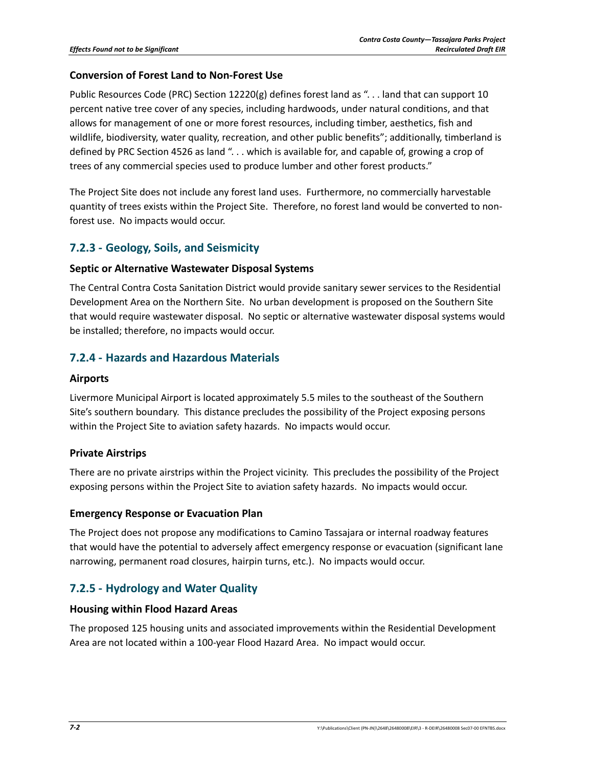### **Conversion of Forest Land to Non‐Forest Use**

Public Resources Code (PRC) Section 12220(g) defines forest land as ". . . land that can support 10 percent native tree cover of any species, including hardwoods, under natural conditions, and that allows for management of one or more forest resources, including timber, aesthetics, fish and wildlife, biodiversity, water quality, recreation, and other public benefits"; additionally, timberland is defined by PRC Section 4526 as land "... which is available for, and capable of, growing a crop of trees of any commercial species used to produce lumber and other forest products."

The Project Site does not include any forest land uses. Furthermore, no commercially harvestable quantity of trees exists within the Project Site. Therefore, no forest land would be converted to non‐ forest use. No impacts would occur.

# **7.2.3 ‐ Geology, Soils, and Seismicity**

#### **Septic or Alternative Wastewater Disposal Systems**

The Central Contra Costa Sanitation District would provide sanitary sewer services to the Residential Development Area on the Northern Site. No urban development is proposed on the Southern Site that would require wastewater disposal. No septic or alternative wastewater disposal systems would be installed; therefore, no impacts would occur.

# **7.2.4 ‐ Hazards and Hazardous Materials**

#### **Airports**

Livermore Municipal Airport is located approximately 5.5 miles to the southeast of the Southern Site's southern boundary. This distance precludes the possibility of the Project exposing persons within the Project Site to aviation safety hazards. No impacts would occur.

### **Private Airstrips**

There are no private airstrips within the Project vicinity. This precludes the possibility of the Project exposing persons within the Project Site to aviation safety hazards. No impacts would occur.

### **Emergency Response or Evacuation Plan**

The Project does not propose any modifications to Camino Tassajara or internal roadway features that would have the potential to adversely affect emergency response or evacuation (significant lane narrowing, permanent road closures, hairpin turns, etc.). No impacts would occur.

# **7.2.5 ‐ Hydrology and Water Quality**

#### **Housing within Flood Hazard Areas**

The proposed 125 housing units and associated improvements within the Residential Development Area are not located within a 100‐year Flood Hazard Area. No impact would occur.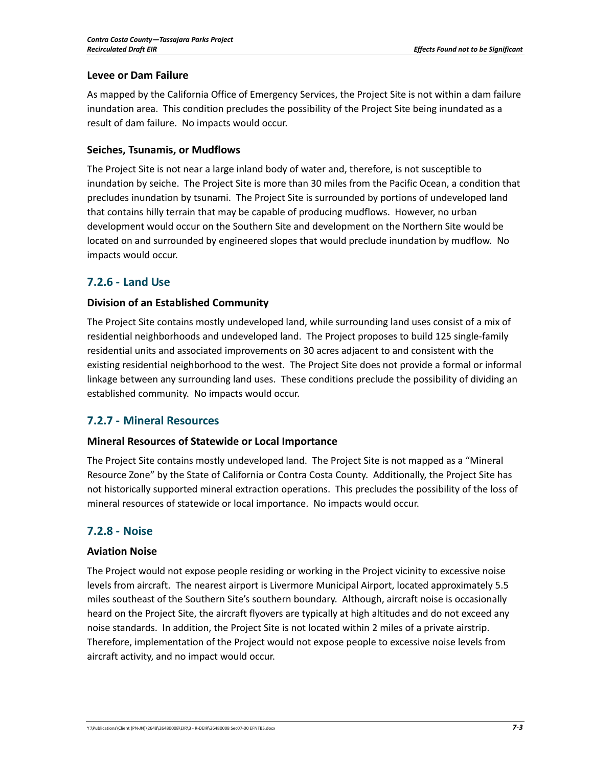### **Levee or Dam Failure**

As mapped by the California Office of Emergency Services, the Project Site is not within a dam failure inundation area. This condition precludes the possibility of the Project Site being inundated as a result of dam failure. No impacts would occur.

### **Seiches, Tsunamis, or Mudflows**

The Project Site is not near a large inland body of water and, therefore, is not susceptible to inundation by seiche. The Project Site is more than 30 miles from the Pacific Ocean, a condition that precludes inundation by tsunami. The Project Site is surrounded by portions of undeveloped land that contains hilly terrain that may be capable of producing mudflows. However, no urban development would occur on the Southern Site and development on the Northern Site would be located on and surrounded by engineered slopes that would preclude inundation by mudflow. No impacts would occur.

# **7.2.6 ‐ Land Use**

### **Division of an Established Community**

The Project Site contains mostly undeveloped land, while surrounding land uses consist of a mix of residential neighborhoods and undeveloped land. The Project proposes to build 125 single‐family residential units and associated improvements on 30 acres adjacent to and consistent with the existing residential neighborhood to the west. The Project Site does not provide a formal or informal linkage between any surrounding land uses. These conditions preclude the possibility of dividing an established community. No impacts would occur.

# **7.2.7 ‐ Mineral Resources**

### **Mineral Resources of Statewide or Local Importance**

The Project Site contains mostly undeveloped land. The Project Site is not mapped as a "Mineral Resource Zone" by the State of California or Contra Costa County. Additionally, the Project Site has not historically supported mineral extraction operations. This precludes the possibility of the loss of mineral resources of statewide or local importance. No impacts would occur.

# **7.2.8 ‐ Noise**

### **Aviation Noise**

The Project would not expose people residing or working in the Project vicinity to excessive noise levels from aircraft. The nearest airport is Livermore Municipal Airport, located approximately 5.5 miles southeast of the Southern Site's southern boundary. Although, aircraft noise is occasionally heard on the Project Site, the aircraft flyovers are typically at high altitudes and do not exceed any noise standards. In addition, the Project Site is not located within 2 miles of a private airstrip. Therefore, implementation of the Project would not expose people to excessive noise levels from aircraft activity, and no impact would occur.